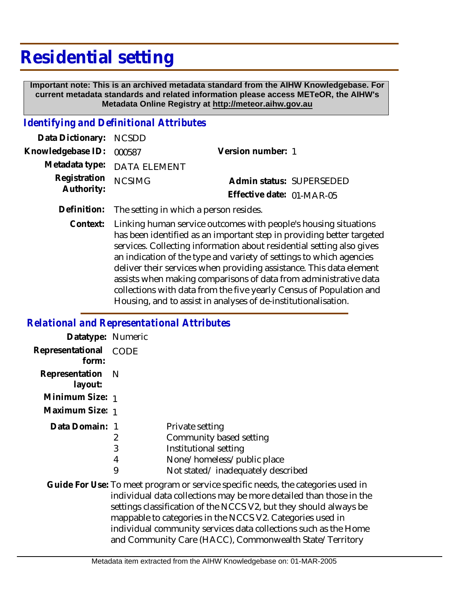## **Residential setting**

 **Important note: This is an archived metadata standard from the AIHW Knowledgebase. For current metadata standards and related information please access METeOR, the AIHW's Metadata Online Registry at http://meteor.aihw.gov.au**

## *Identifying and Definitional Attributes*

| Data Dictionary: NCSDD            |                             |                           |  |
|-----------------------------------|-----------------------------|---------------------------|--|
| Knowledgebase ID: 000587          |                             | Version number: 1         |  |
|                                   | Metadata type: DATA ELEMENT |                           |  |
| Registration NCSIMG<br>Authority: |                             | Admin status: SUPERSEDED  |  |
|                                   |                             | Effective date: 01-MAR-05 |  |
|                                   |                             |                           |  |

**Definition:** The setting in which a person resides.

Linking human service outcomes with people's housing situations has been identified as an important step in providing better targeted services. Collecting information about residential setting also gives an indication of the type and variety of settings to which agencies deliver their services when providing assistance. This data element assists when making comparisons of data from administrative data collections with data from the five yearly Census of Population and Housing, and to assist in analyses of de-institutionalisation. **Context:**

## *Relational and Representational Attributes*

| Datatype: Numeric         |      |                                                                                                                                                                                                                                                                                                                                                                                                                        |
|---------------------------|------|------------------------------------------------------------------------------------------------------------------------------------------------------------------------------------------------------------------------------------------------------------------------------------------------------------------------------------------------------------------------------------------------------------------------|
| Representational<br>form: | CODE |                                                                                                                                                                                                                                                                                                                                                                                                                        |
| Representation<br>layout: | -N   |                                                                                                                                                                                                                                                                                                                                                                                                                        |
| Minimum Size: 1           |      |                                                                                                                                                                                                                                                                                                                                                                                                                        |
| Maximum Size: 1           |      |                                                                                                                                                                                                                                                                                                                                                                                                                        |
| Data Domain: 1            |      | Private setting                                                                                                                                                                                                                                                                                                                                                                                                        |
|                           | 2    | Community based setting                                                                                                                                                                                                                                                                                                                                                                                                |
|                           | 3    | Institutional setting                                                                                                                                                                                                                                                                                                                                                                                                  |
|                           | 4    | None/homeless/public place                                                                                                                                                                                                                                                                                                                                                                                             |
|                           | 9    | Not stated/inadequately described                                                                                                                                                                                                                                                                                                                                                                                      |
|                           |      | Guide For Use: To meet program or service specific needs, the categories used in<br>individual data collections may be more detailed than those in the<br>settings classification of the NCCS V2, but they should always be<br>mappable to categories in the NCCS V2. Categories used in<br>individual community services data collections such as the Home<br>and Community Care (HACC), Commonwealth State/Territory |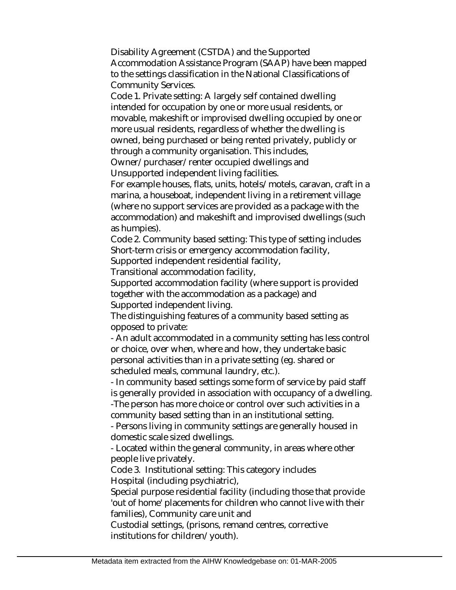Disability Agreement (CSTDA) and the Supported Accommodation Assistance Program (SAAP) have been mapped to the settings classification in the National Classifications of Community Services.

Code 1. Private setting: A largely self contained dwelling intended for occupation by one or more usual residents, or movable, makeshift or improvised dwelling occupied by one or more usual residents, regardless of whether the dwelling is owned, being purchased or being rented privately, publicly or through a community organisation. This includes,

Owner/purchaser/renter occupied dwellings and Unsupported independent living facilities.

For example houses, flats, units, hotels/motels, caravan, craft in a marina, a houseboat, independent living in a retirement village (where no support services are provided as a package with the accommodation) and makeshift and improvised dwellings (such as humpies).

Code 2. Community based setting: This type of setting includes Short-term crisis or emergency accommodation facility,

Supported independent residential facility,

Transitional accommodation facility,

Supported accommodation facility (where support is provided together with the accommodation as a package) and Supported independent living.

The distinguishing features of a community based setting as opposed to private:

- An adult accommodated in a community setting has less control or choice, over when, where and how, they undertake basic personal activities than in a private setting (eg. shared or scheduled meals, communal laundry, etc.).

- In community based settings some form of service by paid staff is generally provided in association with occupancy of a dwelling. -The person has more choice or control over such activities in a community based setting than in an institutional setting.

- Persons living in community settings are generally housed in domestic scale sized dwellings.

- Located within the general community, in areas where other people live privately.

Code 3. Institutional setting: This category includes Hospital (including psychiatric),

Special purpose residential facility (including those that provide 'out of home' placements for children who cannot live with their families), Community care unit and

Custodial settings, (prisons, remand centres, corrective institutions for children/youth).